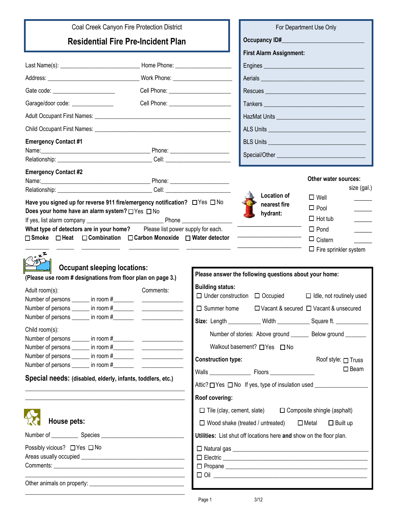| Coal Creek Canyon Fire Protection District                                                                                                                         | For Department Use Only   |                                                                                                    |                                                                                                                                                                                                    |                                                                                                         |
|--------------------------------------------------------------------------------------------------------------------------------------------------------------------|---------------------------|----------------------------------------------------------------------------------------------------|----------------------------------------------------------------------------------------------------------------------------------------------------------------------------------------------------|---------------------------------------------------------------------------------------------------------|
| <b>Residential Fire Pre-Incident Plan</b>                                                                                                                          |                           |                                                                                                    |                                                                                                                                                                                                    |                                                                                                         |
|                                                                                                                                                                    |                           |                                                                                                    | <b>First Alarm Assignment:</b>                                                                                                                                                                     |                                                                                                         |
|                                                                                                                                                                    |                           |                                                                                                    |                                                                                                                                                                                                    |                                                                                                         |
|                                                                                                                                                                    |                           |                                                                                                    | Aerials                                                                                                                                                                                            |                                                                                                         |
| Gate code: ________________________                                                                                                                                |                           |                                                                                                    |                                                                                                                                                                                                    |                                                                                                         |
| Garage/door code: ________________<br>Cell Phone: ______________________                                                                                           |                           |                                                                                                    |                                                                                                                                                                                                    |                                                                                                         |
|                                                                                                                                                                    |                           |                                                                                                    |                                                                                                                                                                                                    |                                                                                                         |
| Child Occupant First Names: University of the Child Occupant First Names:                                                                                          |                           |                                                                                                    |                                                                                                                                                                                                    |                                                                                                         |
| <b>Emergency Contact #1</b>                                                                                                                                        |                           |                                                                                                    |                                                                                                                                                                                                    |                                                                                                         |
|                                                                                                                                                                    |                           |                                                                                                    |                                                                                                                                                                                                    |                                                                                                         |
|                                                                                                                                                                    |                           |                                                                                                    |                                                                                                                                                                                                    |                                                                                                         |
| <b>Emergency Contact #2</b>                                                                                                                                        |                           | <b>Location of</b>                                                                                 | Other water sources:<br>size (gal.)                                                                                                                                                                |                                                                                                         |
| Have you signed up for reverse 911 fire/emergency notification? □ Yes □ No                                                                                         |                           |                                                                                                    | nearest fire                                                                                                                                                                                       | $\square$ Well                                                                                          |
| Does your home have an alarm system? □ Yes □ No                                                                                                                    |                           |                                                                                                    | hydrant:                                                                                                                                                                                           | $\Box$ Pool                                                                                             |
|                                                                                                                                                                    |                           |                                                                                                    |                                                                                                                                                                                                    | $\Box$ Hot tub<br>$\Box$ Pond                                                                           |
| What type of detectors are in your home? Please list power supply for each.<br>□ Smoke □ Heat □ Combination □ Carbon Monoxide □ Water detector                     |                           |                                                                                                    |                                                                                                                                                                                                    | $\Box$ Cistern                                                                                          |
|                                                                                                                                                                    |                           |                                                                                                    |                                                                                                                                                                                                    | $\Box$ Fire sprinkler system                                                                            |
| <b>Occupant sleeping locations:</b><br>(Please use room # designations from floor plan on page 3.)<br>Adult room(s):<br>Number of persons _______ in room #_______ | Comments:                 | <b>Building status:</b>                                                                            | Please answer the following questions about your home:<br>$\Box$ Under construction $\Box$ Occupied                                                                                                | $\Box$ Idle, not routinely used<br>$\Box$ Summer home $\Box$ Vacant & secured $\Box$ Vacant & unsecured |
|                                                                                                                                                                    |                           |                                                                                                    |                                                                                                                                                                                                    |                                                                                                         |
| Child room(s):                                                                                                                                                     | <b>Construction type:</b> |                                                                                                    | Size: Length ___________ Width ______________ Square ft. ____________<br>Number of stories: Above ground ________ Below ground _______<br>Walkout basement? □ Yes □ No<br>Roof style: $\Box$ Truss |                                                                                                         |
|                                                                                                                                                                    |                           |                                                                                                    |                                                                                                                                                                                                    | $\square$ Beam                                                                                          |
| Special needs: (disabled, elderly, infants, toddlers, etc.)                                                                                                        |                           | Attic? □ Yes □ No If yes, type of insulation used ______________________________<br>Roof covering: |                                                                                                                                                                                                    |                                                                                                         |
|                                                                                                                                                                    |                           | $\Box$ Tile (clay, cement, slate) $\Box$ Composite shingle (asphalt)                               |                                                                                                                                                                                                    |                                                                                                         |
| <b>House pets:</b>                                                                                                                                                 |                           | $\Box$ Wood shake (treated / untreated)<br>$\square$ Metal<br>$\Box$ Built up                      |                                                                                                                                                                                                    |                                                                                                         |
|                                                                                                                                                                    |                           | Utilities: List shut off locations here and show on the floor plan.                                |                                                                                                                                                                                                    |                                                                                                         |
| Possibly vicious? □ Yes □ No                                                                                                                                       |                           |                                                                                                    |                                                                                                                                                                                                    |                                                                                                         |
|                                                                                                                                                                    |                           |                                                                                                    |                                                                                                                                                                                                    |                                                                                                         |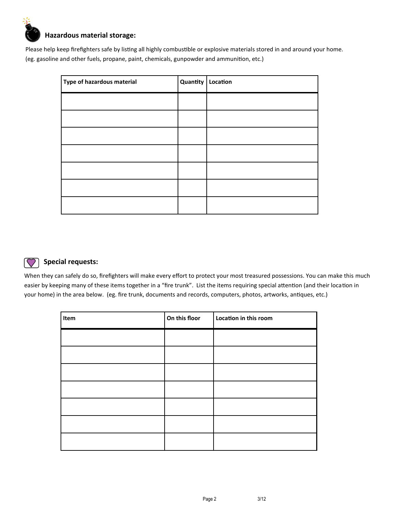

Please help keep firefighters safe by listing all highly combustible or explosive materials stored in and around your home. (eg. gasoline and other fuels, propane, paint, chemicals, gunpowder and ammunition, etc.)

| Type of hazardous material | Quantity | Location |
|----------------------------|----------|----------|
|                            |          |          |
|                            |          |          |
|                            |          |          |
|                            |          |          |
|                            |          |          |
|                            |          |          |
|                            |          |          |



## **Special requests:**

When they can safely do so, firefighters will make every effort to protect your most treasured possessions. You can make this much easier by keeping many of these items together in a "fire trunk". List the items requiring special attention (and their location in your home) in the area below. (eg. fire trunk, documents and records, computers, photos, artworks, antiques, etc.)

| Item | On this floor | Location in this room |
|------|---------------|-----------------------|
|      |               |                       |
|      |               |                       |
|      |               |                       |
|      |               |                       |
|      |               |                       |
|      |               |                       |
|      |               |                       |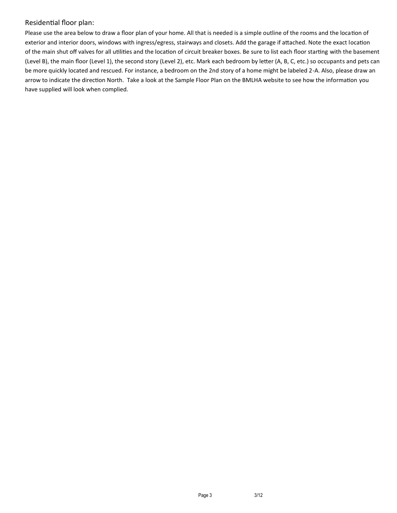## Residential floor plan:

Please use the area below to draw a floor plan of your home. All that is needed is a simple outline of the rooms and the location of exterior and interior doors, windows with ingress/egress, stairways and closets. Add the garage if attached. Note the exact location of the main shut off valves for all utilities and the location of circuit breaker boxes. Be sure to list each floor starting with the basement (Level B), the main floor (Level 1), the second story (Level 2), etc. Mark each bedroom by letter (A, B, C, etc.) so occupants and pets can be more quickly located and rescued. For instance, a bedroom on the 2nd story of a home might be labeled 2-A. Also, please draw an arrow to indicate the direction North. Take a look at the Sample Floor Plan on the BMLHA website to see how the information you have supplied will look when complied.